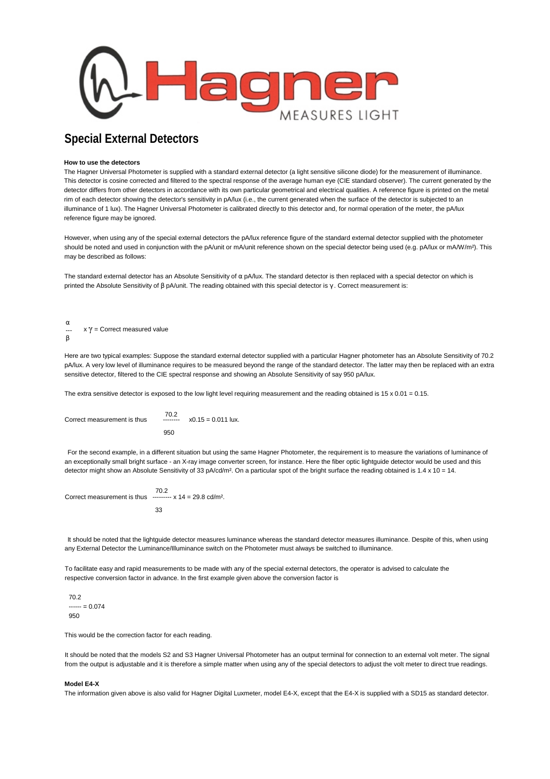

## **Special External Detectors**

## **How to use the detectors**

The Hagner Universal Photometer is supplied with a standard external detector (a light sensitive silicone diode) for the measurement of illuminance. This detector is cosine corrected and filtered to the spectral response of the average human eye (CIE standard observer). The current generated by the detector differs from other detectors in accordance with its own particular geometrical and electrical qualities. A reference figure is printed on the metal rim of each detector showing the detector's sensitivity in pA/lux (i.e., the current generated when the surface of the detector is subjected to an illuminance of 1 lux). The Hagner Universal Photometer is calibrated directly to this detector and, for normal operation of the meter, the pA/lux reference figure may be ignored.

However, when using any of the special external detectors the pA/lux reference figure of the standard external detector supplied with the photometer should be noted and used in conjunction with the pA/unit or mA/unit reference shown on the special detector being used (e.g. pA/lux or mA/W/m<sup>2</sup>). This may be described as follows:

The standard external detector has an Absolute Sensitivity of α pA/lux. The standard detector is then replaced with a special detector on which is printed the Absolute Sensitivity of β pA/unit. The reading obtained with this special detector is  $γ$ . Correct measurement is:

α -- β  $x \gamma$  = Correct measured value

Here are two typical examples: Suppose the standard external detector supplied with a particular Hagner photometer has an Absolute Sensitivity of 70.2 pA/lux. A very low level of illuminance requires to be measured beyond the range of the standard detector. The latter may then be replaced with an extra sensitive detector, filtered to the CIE spectral response and showing an Absolute Sensitivity of say 950 pA/lux.

The extra sensitive detector is exposed to the low light level requiring measurement and the reading obtained is  $15 \times 0.01 = 0.15$ .

 70.2 Correct measurement is thus -------- x0.15 = 0.011 lux. 950

For the second example, in a different situation but using the same Hagner Photometer, the requirement is to measure the variations of luminance of an exceptionally small bright surface - an X-ray image converter screen, for instance. Here the fiber optic lightguide detector would be used and this detector might show an Absolute Sensitivity of 33 pA/cd/m<sup>2</sup>. On a particular spot of the bright surface the reading obtained is 1.4 x 10 = 14.

70.2 Correct measurement is thus  $\frac{1}{2}$   $\frac{1}{2}$   $\frac{1}{2}$   $\frac{1}{2}$   $\frac{1}{2}$   $\frac{1}{2}$   $\frac{1}{2}$   $\frac{1}{2}$   $\frac{1}{2}$   $\frac{1}{2}$   $\frac{1}{2}$   $\frac{1}{2}$   $\frac{1}{2}$   $\frac{1}{2}$   $\frac{1}{2}$   $\frac{1}{2}$   $\frac{1}{2}$   $\frac{1}{2}$   $\frac{1}{2}$   $\frac$ 33

It should be noted that the lightguide detector measures luminance whereas the standard detector measures illuminance. Despite of this, when using any External Detector the Luminance/Illuminance switch on the Photometer must always be switched to illuminance.

To facilitate easy and rapid measurements to be made with any of the special external detectors, the operator is advised to calculate the respective conversion factor in advance. In the first example given above the conversion factor is

70.2  $--- = 0.074$ 950

This would be the correction factor for each reading.

It should be noted that the models S2 and S3 Hagner Universal Photometer has an output terminal for connection to an external volt meter. The signal from the output is adjustable and it is therefore a simple matter when using any of the special detectors to adjust the volt meter to direct true readings.

## **Model E4-X**

The information given above is also valid for Hagner Digital Luxmeter, model E4-X, except that the E4-X is supplied with a SD15 as standard detector.